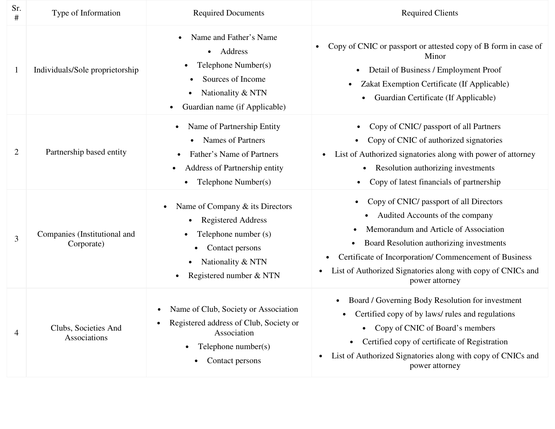| Sr.<br>$\#$  | Type of Information                        | <b>Required Documents</b>                                                                                                                                                                                   | <b>Required Clients</b>                                                                                                                                                                                                                                                                                                                          |
|--------------|--------------------------------------------|-------------------------------------------------------------------------------------------------------------------------------------------------------------------------------------------------------------|--------------------------------------------------------------------------------------------------------------------------------------------------------------------------------------------------------------------------------------------------------------------------------------------------------------------------------------------------|
| $\mathbf{1}$ | Individuals/Sole proprietorship            | Name and Father's Name<br>$\bullet$<br>Address<br>$\bullet$<br>Telephone Number(s)<br>$\bullet$<br>Sources of Income<br>Nationality & NTN<br>$\bullet$<br>Guardian name (if Applicable)<br>$\bullet$        | Copy of CNIC or passport or attested copy of B form in case of<br>$\bullet$<br>Minor<br>Detail of Business / Employment Proof<br>Zakat Exemption Certificate (If Applicable)<br>$\bullet$<br>Guardian Certificate (If Applicable)<br>$\bullet$                                                                                                   |
| 2            | Partnership based entity                   | Name of Partnership Entity<br>$\bullet$<br><b>Names of Partners</b><br>$\bullet$<br>Father's Name of Partners<br>Address of Partnership entity<br>$\bullet$<br>Telephone Number(s)<br>$\bullet$             | Copy of CNIC/ passport of all Partners<br>$\bullet$<br>Copy of CNIC of authorized signatories<br>$\bullet$<br>List of Authorized signatories along with power of attorney<br>$\bullet$<br>Resolution authorizing investments<br>$\bullet$<br>Copy of latest financials of partnership<br>$\bullet$                                               |
| 3            | Companies (Institutional and<br>Corporate) | Name of Company & its Directors<br>$\bullet$<br><b>Registered Address</b><br>$\bullet$<br>Telephone number (s)<br>Contact persons<br>$\bullet$<br>Nationality & NTN<br>Registered number & NTN<br>$\bullet$ | Copy of CNIC/ passport of all Directors<br>Audited Accounts of the company<br>$\bullet$<br>Memorandum and Article of Association<br>Board Resolution authorizing investments<br>Certificate of Incorporation/Commencement of Business<br>$\bullet$<br>List of Authorized Signatories along with copy of CNICs and<br>$\bullet$<br>power attorney |
| 4            | Clubs, Societies And<br>Associations       | Name of Club, Society or Association<br>Registered address of Club, Society or<br>Association<br>Telephone number(s)<br>$\bullet$<br>Contact persons<br>$\bullet$                                           | Board / Governing Body Resolution for investment<br>Certified copy of by laws/ rules and regulations<br>$\bullet$<br>• Copy of CNIC of Board's members<br>Certified copy of certificate of Registration<br>$\bullet$<br>List of Authorized Signatories along with copy of CNICs and<br>$\bullet$<br>power attorney                               |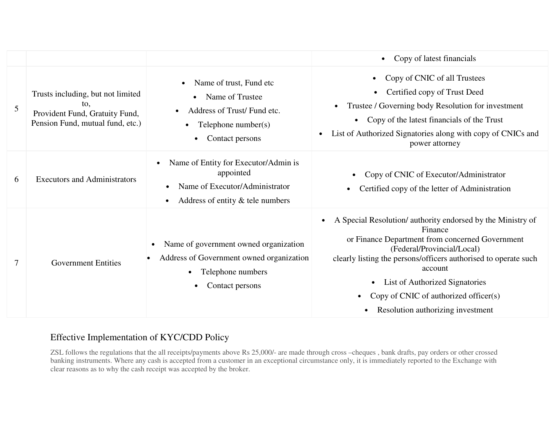|                |                                                                                                                |                                                                                                                                                                        | Copy of latest financials                                                                                                                                                                                                                                                                                                                                                                                    |
|----------------|----------------------------------------------------------------------------------------------------------------|------------------------------------------------------------------------------------------------------------------------------------------------------------------------|--------------------------------------------------------------------------------------------------------------------------------------------------------------------------------------------------------------------------------------------------------------------------------------------------------------------------------------------------------------------------------------------------------------|
| $\overline{5}$ | Trusts including, but not limited<br>to,<br>Provident Fund, Gratuity Fund,<br>Pension Fund, mutual fund, etc.) | Name of trust, Fund etc<br>Name of Trustee<br>$\bullet$<br>Address of Trust/Fund etc.<br>$\bullet$<br>Telephone number(s)<br>$\bullet$<br>Contact persons<br>$\bullet$ | Copy of CNIC of all Trustees<br>Certified copy of Trust Deed<br>Trustee / Governing body Resolution for investment<br>$\bullet$<br>Copy of the latest financials of the Trust<br>List of Authorized Signatories along with copy of CNICs and<br>power attorney                                                                                                                                               |
| 6              | <b>Executors and Administrators</b>                                                                            | Name of Entity for Executor/Admin is<br>$\bullet$<br>appointed<br>Name of Executor/Administrator<br>Address of entity & tele numbers<br>$\bullet$                      | Copy of CNIC of Executor/Administrator<br>Certified copy of the letter of Administration                                                                                                                                                                                                                                                                                                                     |
| 7              | <b>Government Entities</b>                                                                                     | Name of government owned organization<br>Address of Government owned organization<br>$\bullet$<br>Telephone numbers<br>$\bullet$<br>Contact persons<br>$\bullet$       | A Special Resolution/ authority endorsed by the Ministry of<br>$\bullet$<br>Finance<br>or Finance Department from concerned Government<br>(Federal/Provincial/Local)<br>clearly listing the persons/officers authorised to operate such<br>account<br>List of Authorized Signatories<br>$\bullet$<br>Copy of CNIC of authorized officer $(s)$<br>$\bullet$<br>Resolution authorizing investment<br>$\bullet$ |

## Effective Implementation of KYC/CDD Policy

ZSL follows the regulations that the all receipts/payments above Rs 25,000/- are made through cross –cheques , bank drafts, pay orders or other crossed banking instruments. Where any cash is accepted from a customer in an exceptional circumstance only, it is immediately reported to the Exchange with clear reasons as to why the cash receipt was accepted by the broker.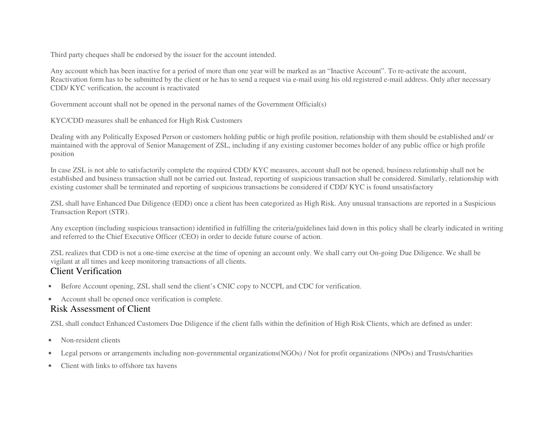Third party cheques shall be endorsed by the issuer for the account intended.

Any account which has been inactive for a period of more than one year will be marked as an "Inactive Account". To re-activate the account, Reactivation form has to be submitted by the client or he has to send a request via e-mail using his old registered e-mail address. Only after necessary CDD/ KYC verification, the account is reactivated

Government account shall not be opened in the personal names of the Government Official(s)

KYC/CDD measures shall be enhanced for High Risk Customers

Dealing with any Politically Exposed Person or customers holding public or high profile position, relationship with them should be established and/ or maintained with the approval of Senior Management of ZSL, including if any existing customer becomes holder of any public office or high profile position

In case ZSL is not able to satisfactorily complete the required CDD/ KYC measures, account shall not be opened, business relationship shall not be established and business transaction shall not be carried out. Instead, reporting of suspicious transaction shall be considered. Similarly, relationship with existing customer shall be terminated and reporting of suspicious transactions be considered if CDD/ KYC is found unsatisfactory

ZSL shall have Enhanced Due Diligence (EDD) once a client has been categorized as High Risk. Any unusual transactions are reported in a Suspicious Transaction Report (STR).

Any exception (including suspicious transaction) identified in fulfilling the criteria/guidelines laid down in this policy shall be clearly indicated in writing and referred to the Chief Executive Officer (CEO) in order to decide future course of action.

ZSL realizes that CDD is not a one-time exercise at the time of opening an account only. We shall carry out On-going Due Diligence. We shall be vigilant at all times and keep monitoring transactions of all clients.

#### Client Verification

- •Before Account opening, ZSL shall send the client's CNIC copy to NCCPL and CDC for verification.
- $\bullet$ Account shall be opened once verification is complete.

#### Risk Assessment of Client

ZSL shall conduct Enhanced Customers Due Diligence if the client falls within the definition of High Risk Clients, which are defined as under:

- •Non-resident clients
- •Legal persons or arrangements including non-governmental organizations(NGOs) / Not for profit organizations (NPOs) and Trusts/charities
- •Client with links to offshore tax havens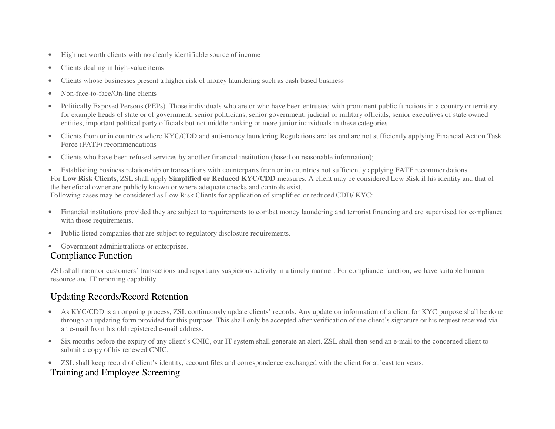- •High net worth clients with no clearly identifiable source of income
- •Clients dealing in high-value items
- •Clients whose businesses present a higher risk of money laundering such as cash based business
- •Non-face-to-face/On-line clients
- • Politically Exposed Persons (PEPs). Those individuals who are or who have been entrusted with prominent public functions in a country or territory, for example heads of state or of government, senior politicians, senior government, judicial or military officials, senior executives of state owned entities, important political party officials but not middle ranking or more junior individuals in these categories
- • Clients from or in countries where KYC/CDD and anti-money laundering Regulations are lax and are not sufficiently applying Financial Action Task Force (FATF) recommendations
- •Clients who have been refused services by another financial institution (based on reasonable information);
- • Establishing business relationship or transactions with counterparts from or in countries not sufficiently applying FATF recommendations. For **Low Risk Clients**, ZSL shall apply **Simplified or Reduced KYC/CDD** measures. A client may be considered Low Risk if his identity and that of the beneficial owner are publicly known or where adequate checks and controls exist. Following cases may be considered as Low Risk Clients for application of simplified or reduced CDD/ KYC:
- $\bullet$  Financial institutions provided they are subject to requirements to combat money laundering and terrorist financing and are supervised for compliance with those requirements.
- •Public listed companies that are subject to regulatory disclosure requirements.
- Government administrations or enterprises.

## Compliance Function

ZSL shall monitor customers' transactions and report any suspicious activity in a timely manner. For compliance function, we have suitable human resource and IT reporting capability.

# Updating Records/Record Retention

- • As KYC/CDD is an ongoing process, ZSL continuously update clients' records. Any update on information of a client for KYC purpose shall be done through an updating form provided for this purpose. This shall only be accepted after verification of the client's signature or his request received via an e-mail from his old registered e-mail address.
- $\bullet$  Six months before the expiry of any client's CNIC, our IT system shall generate an alert. ZSL shall then send an e-mail to the concerned client to submit a copy of his renewed CNIC.
- ZSL shall keep record of client's identity, account files and correspondence exchanged with the client for at least ten years.

### Training and Employee Screening